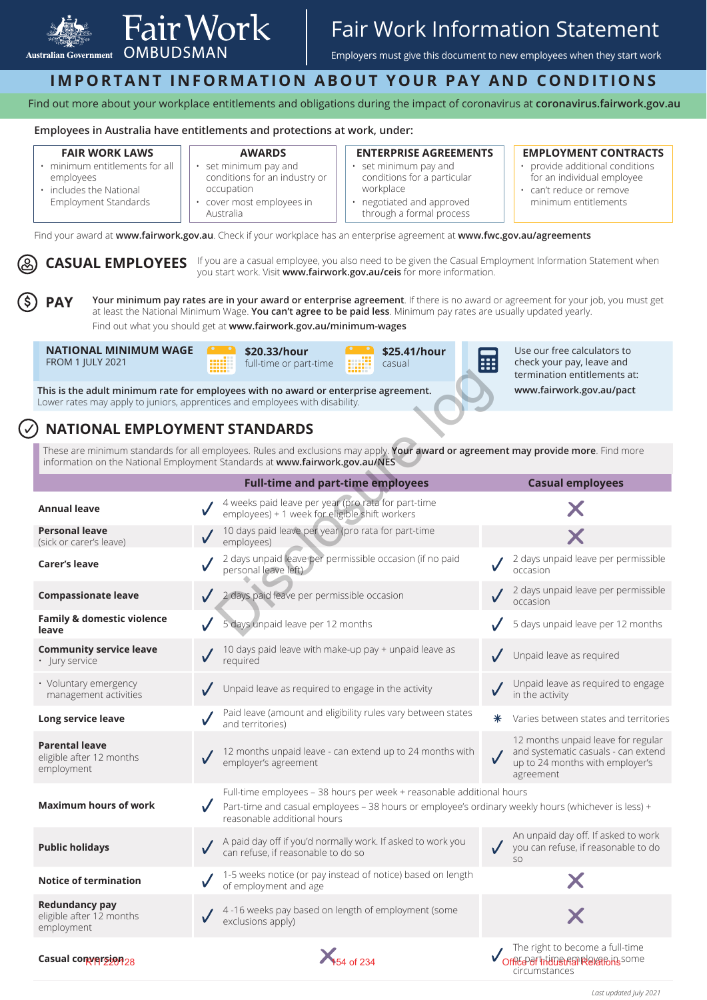

# Fair Work Information Statement

Employers must give this document to new employees when they start work

## **IMPORTANT INFORMATION ABOUT YOUR PAY AND CONDITIONS**

Find out more about your workplace entitlements and obligations during the impact of coronavirus at **coronavirus.fairwork.gov.au**

#### **Employees in Australia have entitlements and protections at work, under:**

#### **FAIR WORK LAWS**

• minimum entitlements for all employees • includes the National

Employment Standards

- **AWARDS**  • set minimum pay and conditions for an industry or
- occupation cover most employees in
- Australia

#### **ENTERPRISE AGREEMENTS**

- set minimum pay and conditions for a particular workplace
- negotiated and approved through a formal process

#### **EMPLOYMENT CONTRACTS**

- provide additional conditions for an individual employee
- can't reduce or remove minimum entitlements

Find your award at **www.fairwork.gov.au**. Check if your workplace has an enterprise agreement at **www.fwc.gov.au/agreements**

CASUAL EMPLOYEES If you are a casual employee, you also need to be given the Casual Employment Information Statement when you start work. Visit **www.fairwork.gov.au/ceis** for more information.

**PAY Your minimum pay rates are in your award or enterprise agreement**. If there is no award or agreement for your job, you must get at least the National Minimum Wage. **You can't agree to be paid less**. Minimum pay rates are usually updated yearly. Find out what you should get at **www.fairwork.gov.au/minimum-wages**

**NATIONAL MINIMUM WAGE**  FROM 1 JULY 2021



**\$25.41/hour**  casual



Use our free calculators to check your pay, leave and termination entitlements at: **www.fairwork.gov.au/pact**

### **NATIONAL EMPLOYMENT STANDARDS**

|                                                                                                                                                                                                                   | ,,,,,,<br>.                                                                                                                                                                                                 | termination entitlements at:                                                                                              |
|-------------------------------------------------------------------------------------------------------------------------------------------------------------------------------------------------------------------|-------------------------------------------------------------------------------------------------------------------------------------------------------------------------------------------------------------|---------------------------------------------------------------------------------------------------------------------------|
|                                                                                                                                                                                                                   | This is the adult minimum rate for employees with no award or enterprise agreement.<br>Lower rates may apply to juniors, apprentices and employees with disability.                                         | www.fairwork.gov.au/pact                                                                                                  |
| <b>NATIONAL EMPLOYMENT STANDARDS</b>                                                                                                                                                                              |                                                                                                                                                                                                             |                                                                                                                           |
| These are minimum standards for all employees. Rules and exclusions may apply. Your award or agreement may provide more. Find more<br>information on the National Employment Standards at www.fairwork.gov.au/NES |                                                                                                                                                                                                             |                                                                                                                           |
|                                                                                                                                                                                                                   | <b>Full-time and part-time employees</b>                                                                                                                                                                    | <b>Casual employees</b>                                                                                                   |
| <b>Annual leave</b>                                                                                                                                                                                               | 4 weeks paid leave per year (pro rata for part-time<br>employees) + 1 week for eligible shift workers                                                                                                       |                                                                                                                           |
| <b>Personal leave</b><br>(sick or carer's leave)                                                                                                                                                                  | 10 days paid leave per year (pro rata for part-time<br>employees)                                                                                                                                           |                                                                                                                           |
| <b>Carer's leave</b>                                                                                                                                                                                              | 2 days unpaid leave per permissible occasion (if no paid<br>personal leave left)                                                                                                                            | 2 days unpaid leave per permissible<br>occasion                                                                           |
| <b>Compassionate leave</b>                                                                                                                                                                                        | 2 days paid leave per permissible occasion                                                                                                                                                                  | 2 days unpaid leave per permissible<br>occasion                                                                           |
| Family & domestic violence<br>leave                                                                                                                                                                               | 5 days unpaid leave per 12 months                                                                                                                                                                           | 5 days unpaid leave per 12 months                                                                                         |
| <b>Community service leave</b><br>· Jury service                                                                                                                                                                  | 10 days paid leave with make-up pay + unpaid leave as<br>reguired                                                                                                                                           | Unpaid leave as required                                                                                                  |
| • Voluntary emergency<br>management activities                                                                                                                                                                    | Unpaid leave as required to engage in the activity                                                                                                                                                          | Unpaid leave as required to engage<br>in the activity                                                                     |
| Long service leave                                                                                                                                                                                                | Paid leave (amount and eligibility rules vary between states<br>and territories)                                                                                                                            | Varies between states and territories<br>⋇                                                                                |
| <b>Parental leave</b><br>eligible after 12 months<br>employment                                                                                                                                                   | 12 months unpaid leave - can extend up to 24 months with<br>employer's agreement                                                                                                                            | 12 months unpaid leave for regular<br>and systematic casuals - can extend<br>up to 24 months with employer's<br>agreement |
| <b>Maximum hours of work</b>                                                                                                                                                                                      | Full-time employees - 38 hours per week + reasonable additional hours<br>Part-time and casual employees - 38 hours or employee's ordinary weekly hours (whichever is less) +<br>reasonable additional hours |                                                                                                                           |
| <b>Public holidays</b>                                                                                                                                                                                            | A paid day off if you'd normally work. If asked to work you<br>can refuse, if reasonable to do so                                                                                                           | An unpaid day off. If asked to work<br>$\bigvee$ you can refuse, if reasonable to do<br>SO                                |
| <b>Notice of termination</b>                                                                                                                                                                                      | 1-5 weeks notice (or pay instead of notice) based on length<br>of employment and age                                                                                                                        |                                                                                                                           |
| <b>Redundancy pay</b><br>eligible after 12 months<br>employment                                                                                                                                                   | 4-16 weeks pay based on length of employment (some<br>exclusions apply)                                                                                                                                     |                                                                                                                           |
| Casual comversion 28                                                                                                                                                                                              | <b>X</b> <sub>54</sub> of 234                                                                                                                                                                               | The right to become a full-time<br>Office of Intimetrial Relations some                                                   |

*Last updated July 2021*

circumstances